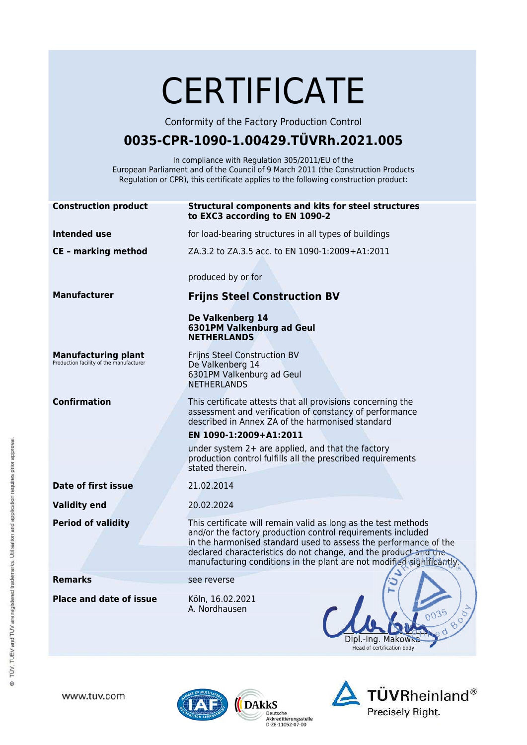|                                                                       | <b>CERTIFICATE</b>                                                                                                                                                                                                                                                                                                                           |
|-----------------------------------------------------------------------|----------------------------------------------------------------------------------------------------------------------------------------------------------------------------------------------------------------------------------------------------------------------------------------------------------------------------------------------|
|                                                                       | Conformity of the Factory Production Control                                                                                                                                                                                                                                                                                                 |
| 0035-CPR-1090-1.00429.TÜVRh.2021.005                                  |                                                                                                                                                                                                                                                                                                                                              |
|                                                                       | In compliance with Regulation 305/2011/EU of the<br>European Parliament and of the Council of 9 March 2011 (the Construction Products<br>Regulation or CPR), this certificate applies to the following construction product:                                                                                                                 |
| <b>Construction product</b>                                           | Structural components and kits for steel structures<br>to EXC3 according to EN 1090-2                                                                                                                                                                                                                                                        |
| <b>Intended use</b>                                                   | for load-bearing structures in all types of buildings                                                                                                                                                                                                                                                                                        |
| <b>CE - marking method</b>                                            | ZA.3.2 to ZA.3.5 acc. to EN 1090-1:2009+A1:2011                                                                                                                                                                                                                                                                                              |
|                                                                       | produced by or for                                                                                                                                                                                                                                                                                                                           |
| <b>Manufacturer</b>                                                   | <b>Frijns Steel Construction BV</b>                                                                                                                                                                                                                                                                                                          |
|                                                                       | De Valkenberg 14<br>6301PM Valkenburg ad Geul<br><b>NETHERLANDS</b>                                                                                                                                                                                                                                                                          |
| <b>Manufacturing plant</b><br>Production facility of the manufacturer | Frijns Steel Construction BV<br>De Valkenberg 14<br>6301PM Valkenburg ad Geul<br><b>NETHERLANDS</b>                                                                                                                                                                                                                                          |
| <b>Confirmation</b>                                                   | This certificate attests that all provisions concerning the<br>assessment and verification of constancy of performance<br>described in Annex ZA of the harmonised standard                                                                                                                                                                   |
|                                                                       | EN 1090-1:2009+A1:2011                                                                                                                                                                                                                                                                                                                       |
|                                                                       | under system $2+$ are applied, and that the factory<br>production control fulfills all the prescribed requirements<br>stated therein.                                                                                                                                                                                                        |
| Date of first issue                                                   | 21.02.2014                                                                                                                                                                                                                                                                                                                                   |
| <b>Validity end</b>                                                   | 20.02.2024                                                                                                                                                                                                                                                                                                                                   |
| <b>Period of validity</b>                                             | This certificate will remain valid as long as the test methods<br>and/or the factory production control requirements included<br>in the harmonised standard used to assess the performance of the<br>declared characteristics do not change, and the product and the<br>manufacturing conditions in the plant are not modified significantly |
| <b>Remarks</b>                                                        | see reverse                                                                                                                                                                                                                                                                                                                                  |
| <b>Place and date of issue</b>                                        | Köln, 16.02.2021<br>A. Nordhausen<br>0035<br>Makow<br>-ina<br>Head of certification body                                                                                                                                                                                                                                                     |

www.tuv.com